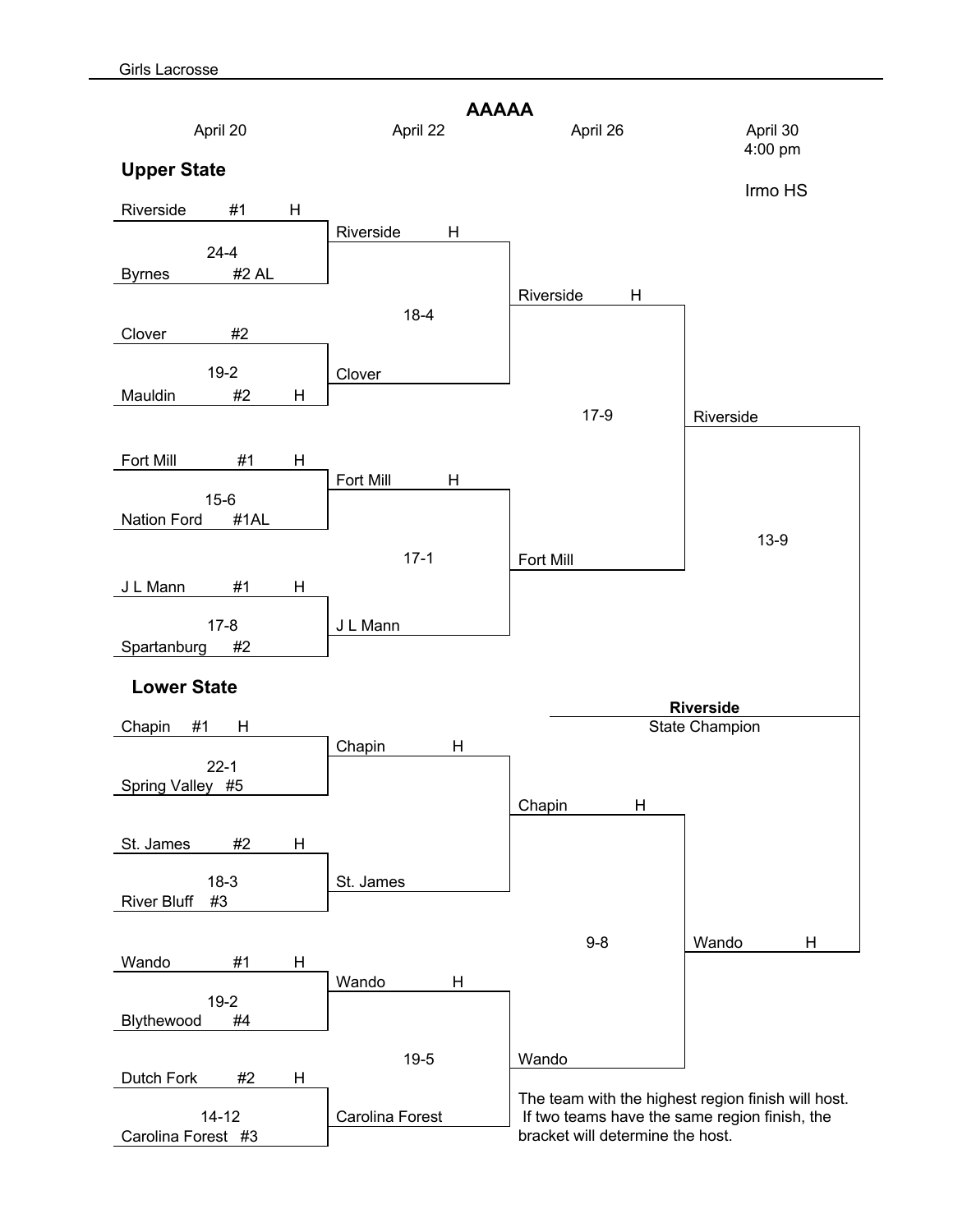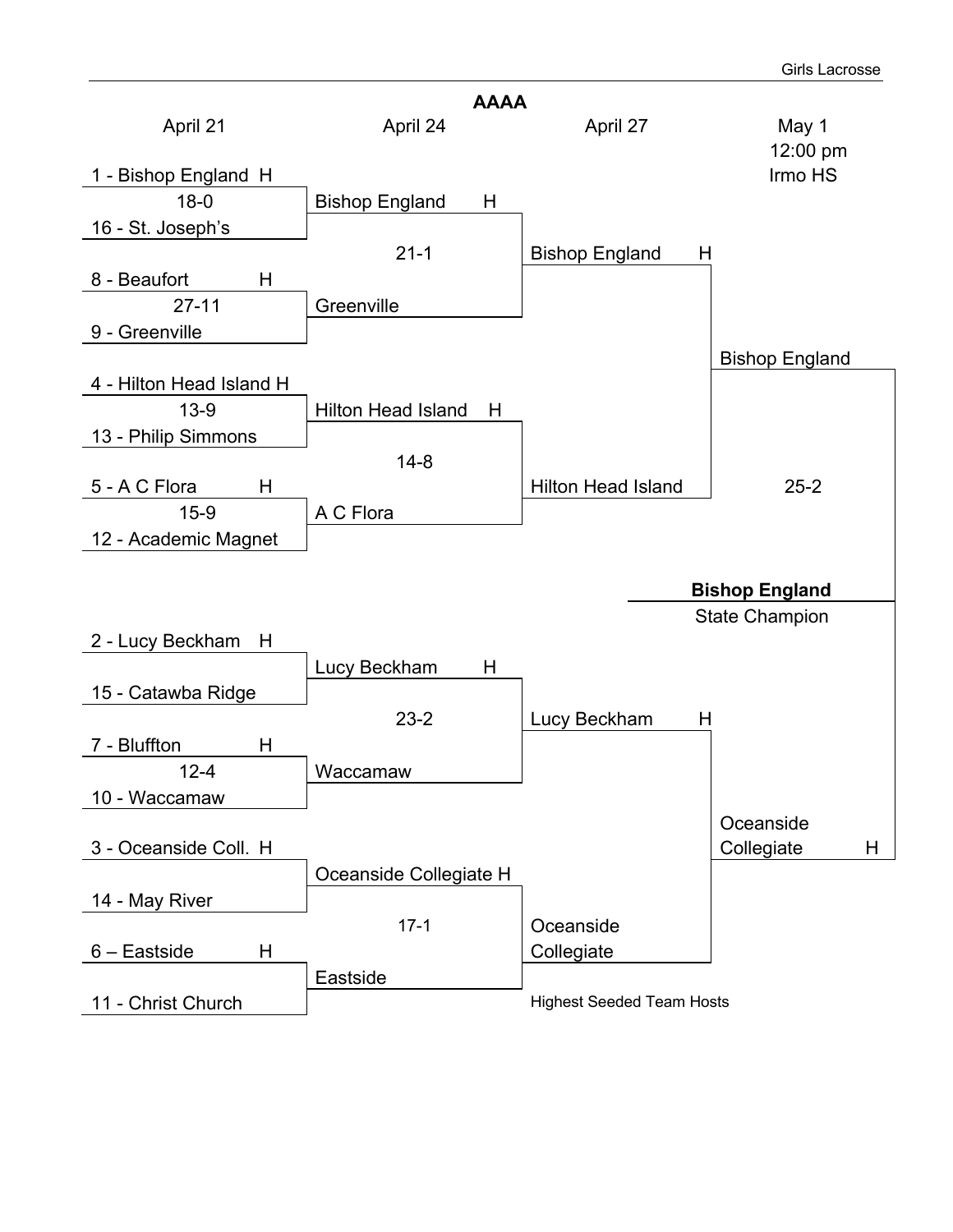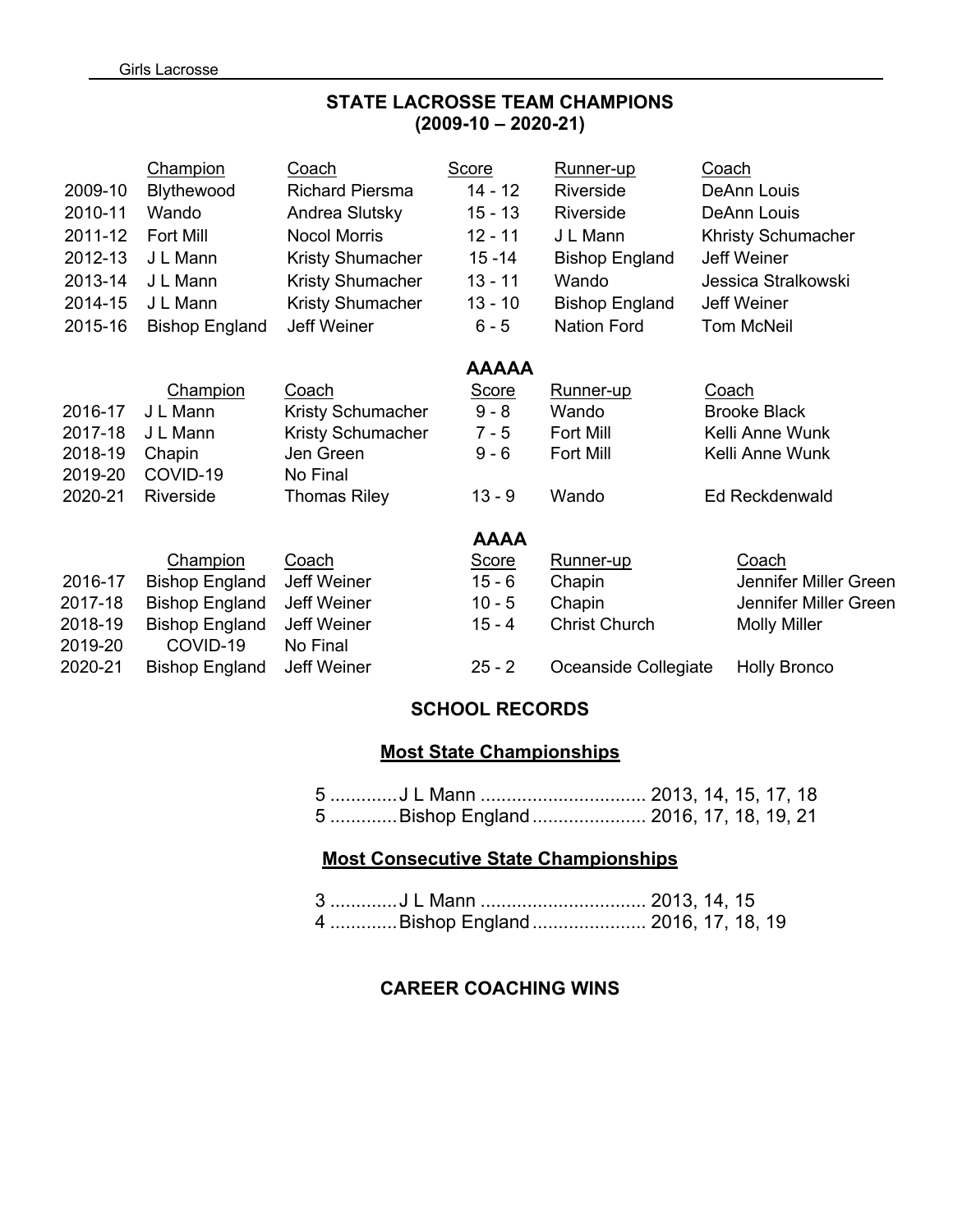# **STATE LACROSSE TEAM CHAMPIONS (2009-10 – 2020-21)**

|         | <b>Champion</b>       | Coach                  | Score        | Runner-up             | Coach                     |
|---------|-----------------------|------------------------|--------------|-----------------------|---------------------------|
| 2009-10 | Blythewood            | <b>Richard Piersma</b> | 14 - 12      | Riverside             | DeAnn Louis               |
| 2010-11 | Wando                 | Andrea Slutsky         | $15 - 13$    | Riverside             | DeAnn Louis               |
| 2011-12 | Fort Mill             | <b>Nocol Morris</b>    | $12 - 11$    | J L Mann              | <b>Khristy Schumacher</b> |
| 2012-13 | J L Mann              | Kristy Shumacher       | $15 - 14$    | <b>Bishop England</b> | Jeff Weiner               |
| 2013-14 | J L Mann              | Kristy Shumacher       | $13 - 11$    | Wando                 | Jessica Stralkowski       |
| 2014-15 | J L Mann              | Kristy Shumacher       | $13 - 10$    | <b>Bishop England</b> | Jeff Weiner               |
| 2015-16 | <b>Bishop England</b> | Jeff Weiner            | $6 - 5$      | <b>Nation Ford</b>    | <b>Tom McNeil</b>         |
|         |                       |                        | <b>AAAAA</b> |                       |                           |
|         | Champion              | Coach                  | Score        | Runner-up             | Coach                     |
| 2016-17 | J L Mann              | Kristy Schumacher      | $9 - 8$      | Wando                 | <b>Brooke Black</b>       |
| 2017-18 | J L Mann              | Kristy Schumacher      | $7 - 5$      | Fort Mill             | Kelli Anne Wunk           |
| 2018-19 | Chapin                | Jen Green              | $9 - 6$      | Fort Mill             | Kelli Anne Wunk           |
| 2019-20 | COVID-19              | No Final               |              |                       |                           |
| 2020-21 | Riverside             | <b>Thomas Riley</b>    | $13 - 9$     | Wando                 | Ed Reckdenwald            |
|         |                       |                        | <b>AAAA</b>  |                       |                           |
|         | Champion              | Coach                  | Score        | Runner-up             | Coach                     |
| 2016-17 | <b>Bishop England</b> | <b>Jeff Weiner</b>     | $15 - 6$     | Chapin                | Jennifer Miller Green     |
| 2017-18 | <b>Bishop England</b> | Jeff Weiner            | $10 - 5$     | Chapin                | Jennifer Miller Green     |
| 2018-19 | <b>Bishop England</b> | Jeff Weiner            | 15 - 4       | <b>Christ Church</b>  | <b>Molly Miller</b>       |
| 2019-20 | COVID-19              | No Final               |              |                       |                           |
| 2020-21 | <b>Bishop England</b> | <b>Jeff Weiner</b>     | $25 - 2$     | Oceanside Collegiate  | <b>Holly Bronco</b>       |
|         |                       |                        |              |                       |                           |

### **SCHOOL RECORDS**

# **Most State Championships**

| 5 J L Mann  2013, 14, 15, 17, 18       |  |  |  |
|----------------------------------------|--|--|--|
| 5 Bishop England  2016, 17, 18, 19, 21 |  |  |  |

## **Most Consecutive State Championships**

| 3 J L Mann  2013, 14, 15           |  |  |
|------------------------------------|--|--|
| 4 Bishop England  2016, 17, 18, 19 |  |  |

# **CAREER COACHING WINS**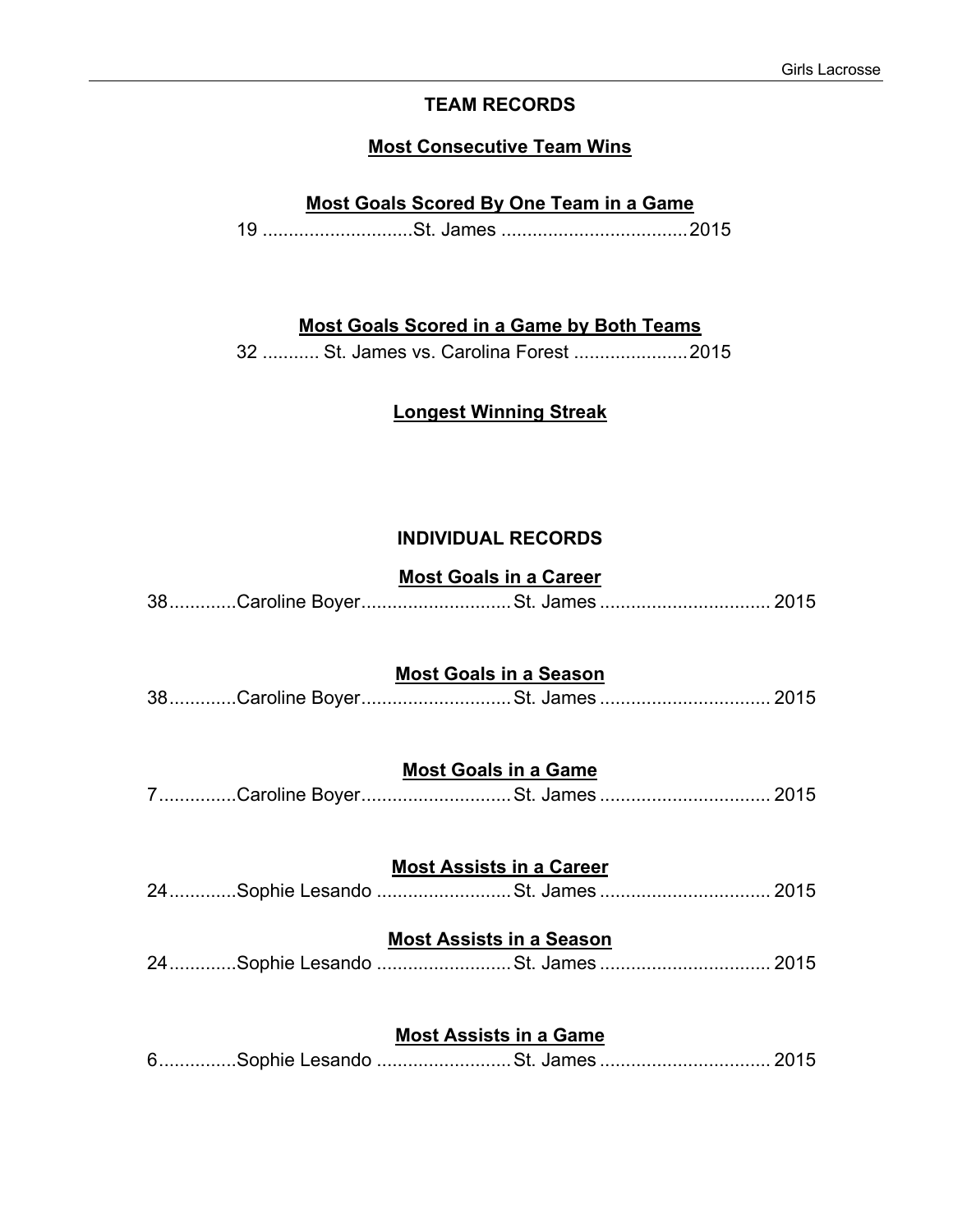### **TEAM RECORDS**

#### **Most Consecutive Team Wins**

### **Most Goals Scored By One Team in a Game**

19 .............................St. James ....................................2015

#### **Most Goals Scored in a Game by Both Teams**

32 ........... St. James vs. Carolina Forest ......................2015

# **Longest Winning Streak**

#### **INDIVIDUAL RECORDS**

## **Most Goals in a Career**

|  |  | 38Caroline BoyerSt. James 2015 |  |
|--|--|--------------------------------|--|
|--|--|--------------------------------|--|

### **Most Goals in a Season**

|  |  | 38Caroline BoyerSt. James 2015 |  |
|--|--|--------------------------------|--|
|--|--|--------------------------------|--|

## **Most Goals in a Game**

|  | 7Caroline BoyerSt. James  2015 |  |
|--|--------------------------------|--|
|  |                                |  |

## **Most Assists in a Career**

|  | 24Sophie Lesando St. James  2015 |  |
|--|----------------------------------|--|
|--|----------------------------------|--|

### **Most Assists in a Season**

|  | 24Sophie Lesando St. James  2015 |  |
|--|----------------------------------|--|
|  |                                  |  |

### **Most Assists in a Game**

|--|